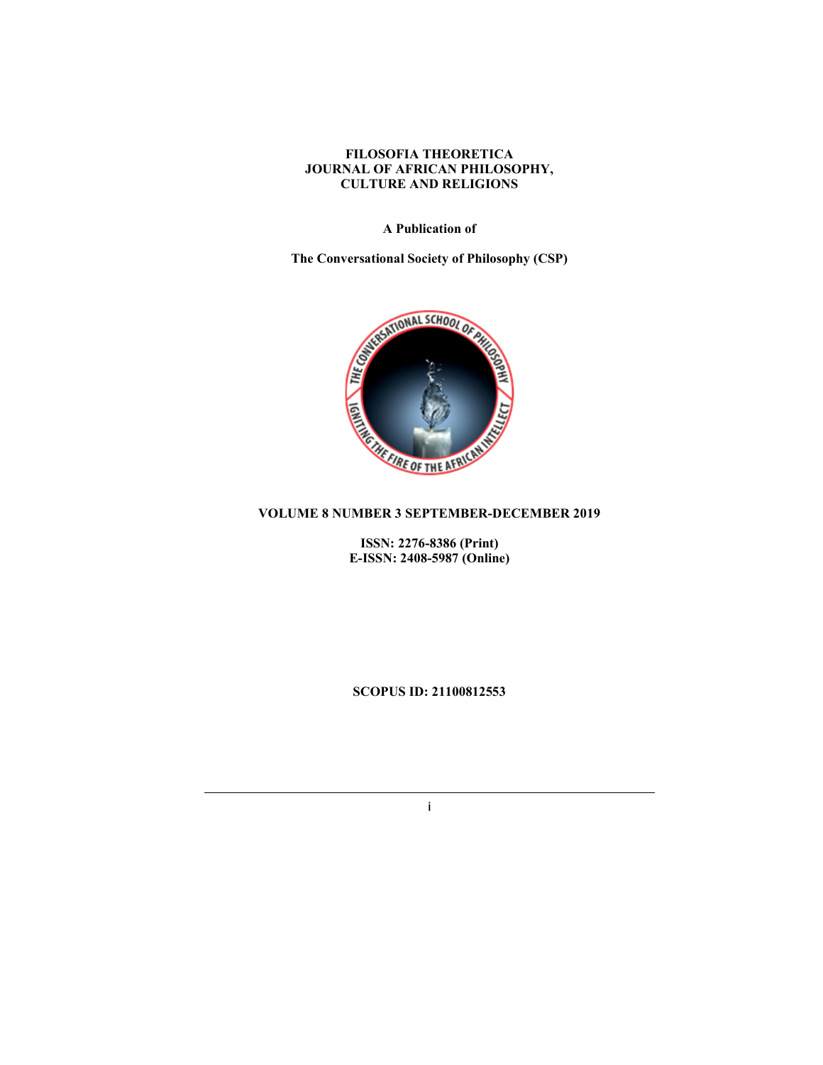## FILOSOFIA THEORETICA JOURNAL OF AFRICAN PHILOSOPHY, CULTURE AND RELIGIONS

# A Publication of

The Conversational Society of Philosophy (CSP)



ISSN: 2276-8386 (Print) E-ISSN: 2408-5987 (Online)

SCOPUS ID: 21100812553

i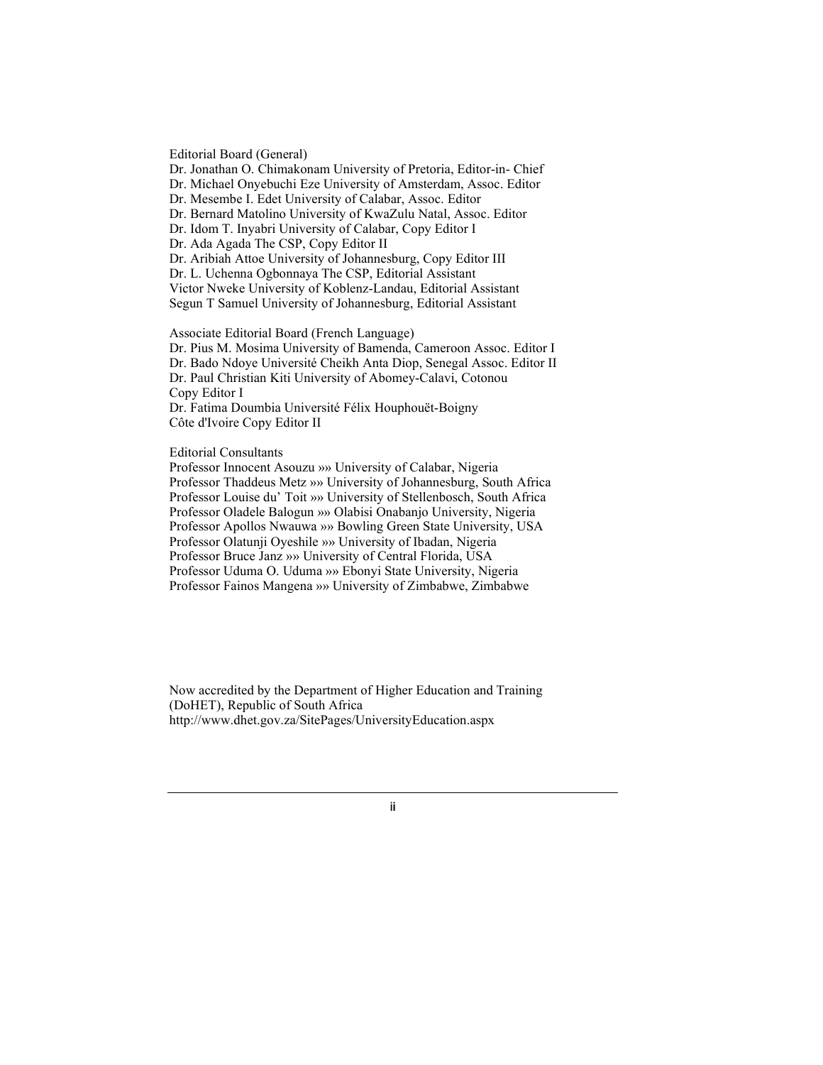Editorial Board (General) Dr. Jonathan O. Chimakonam University of Pretoria, Editor-in- Chief Dr. Michael Onyebuchi Eze University of Amsterdam, Assoc. Editor Dr. Mesembe I. Edet University of Calabar, Assoc. Editor Dr. Bernard Matolino University of KwaZulu Natal, Assoc. Editor Dr. Idom T. Inyabri University of Calabar, Copy Editor I Dr. Ada Agada The CSP, Copy Editor II Dr. Aribiah Attoe University of Johannesburg, Copy Editor III Dr. L. Uchenna Ogbonnaya The CSP, Editorial Assistant Victor Nweke University of Koblenz-Landau, Editorial Assistant Segun T Samuel University of Johannesburg, Editorial Assistant

Associate Editorial Board (French Language) Dr. Pius M. Mosima University of Bamenda, Cameroon Assoc. Editor I Dr. Bado Ndoye Université Cheikh Anta Diop, Senegal Assoc. Editor II Dr. Paul Christian Kiti University of Abomey-Calavi, Cotonou Copy Editor I Dr. Fatima Doumbia Université Félix Houphouët-Boigny Côte d'Ivoire Copy Editor II

Editorial Consultants

Professor Innocent Asouzu »» University of Calabar, Nigeria Professor Thaddeus Metz »» University of Johannesburg, South Africa Professor Louise du' Toit »» University of Stellenbosch, South Africa Professor Oladele Balogun »» Olabisi Onabanjo University, Nigeria Professor Apollos Nwauwa »» Bowling Green State University, USA Professor Olatunji Oyeshile »» University of Ibadan, Nigeria Professor Bruce Janz »» University of Central Florida, USA Professor Uduma O. Uduma »» Ebonyi State University, Nigeria Professor Fainos Mangena »» University of Zimbabwe, Zimbabwe

Now accredited by the Department of Higher Education and Training (DoHET), Republic of South Africa http://www.dhet.gov.za/SitePages/UniversityEducation.aspx

ii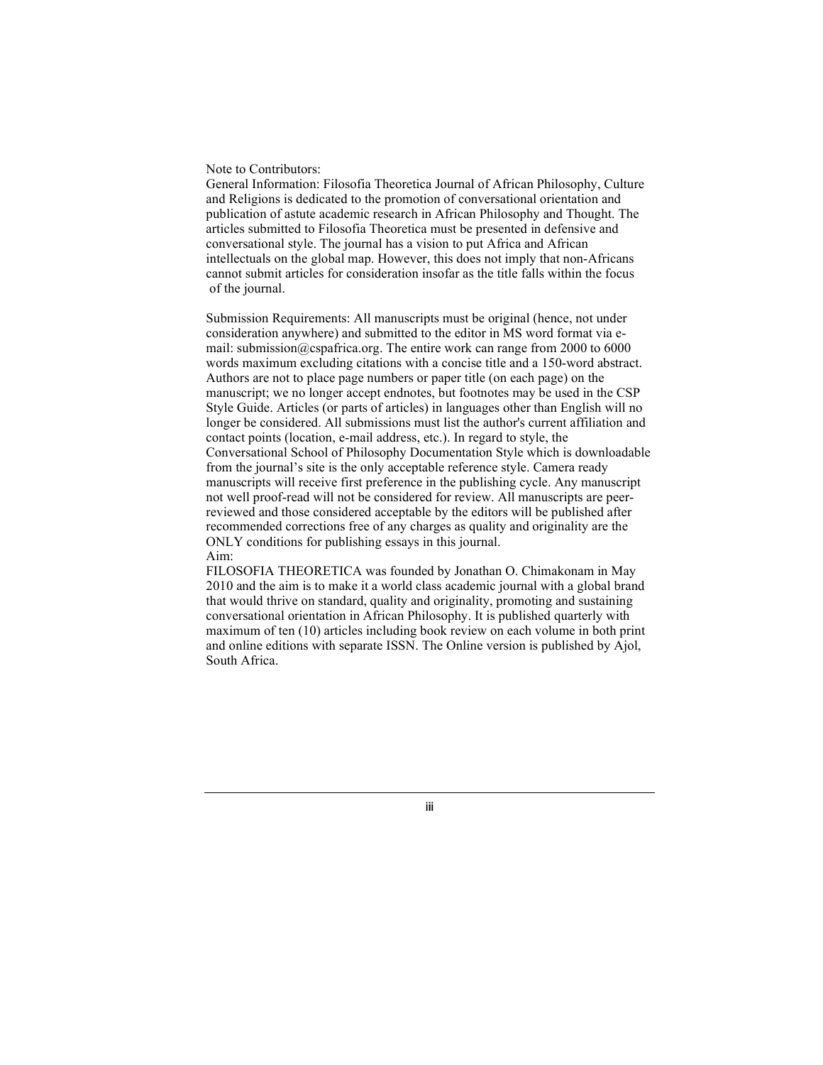#### Note to Contributors:

General Information: Filosofia Theoretica Journal of African Philosophy, Culture and Religions is dedicated to the promotion of conversational orientation and publication of astute academic research in African Philosophy and Thought. The articles submitted to Filosofia Theoretica must be presented in defensive and conversational style. The journal has a vision to put Africa and African intellectuals on the global map. However, this does not imply that non-Africans cannot submit articles for consideration insofar as the title falls within the focus of the journal.

Submission Requirements: All manuscripts must be original (hence, not under consideration anywhere) and submitted to the editor in MS word format via email: submission@cspafrica.org. The entire work can range from 2000 to 6000 words maximum excluding citations with a concise title and a 150-word abstract. Authors are not to place page numbers or paper title (on each page) on the manuscript; we no longer accept endnotes, but footnotes may be used in the CSP Style Guide. Articles (or parts of articles) in languages other than English will no longer be considered. All submissions must list the author's current affiliation and contact points (location, e-mail address, etc.). In regard to style, the Conversational School of Philosophy Documentation Style which is downloadable from the journal's site is the only acceptable reference style. Camera ready manuscripts will receive first preference in the publishing cycle. Any manuscript not well proof-read will not be considered for review. All manuscripts are peerreviewed and those considered acceptable by the editors will be published after recommended corrections free of any charges as quality and originality are the ONLY conditions for publishing essays in this journal. Aim:

FILOSOFIA THEORETICA was founded by Jonathan O. Chimakonam in May 2010 and the aim is to make it a world class academic journal with a global brand that would thrive on standard, quality and originality, promoting and sustaining conversational orientation in African Philosophy. It is published quarterly with maximum of ten (10) articles including book review on each volume in both print and online editions with separate ISSN. The Online version is published by Ajol, South Africa.

iii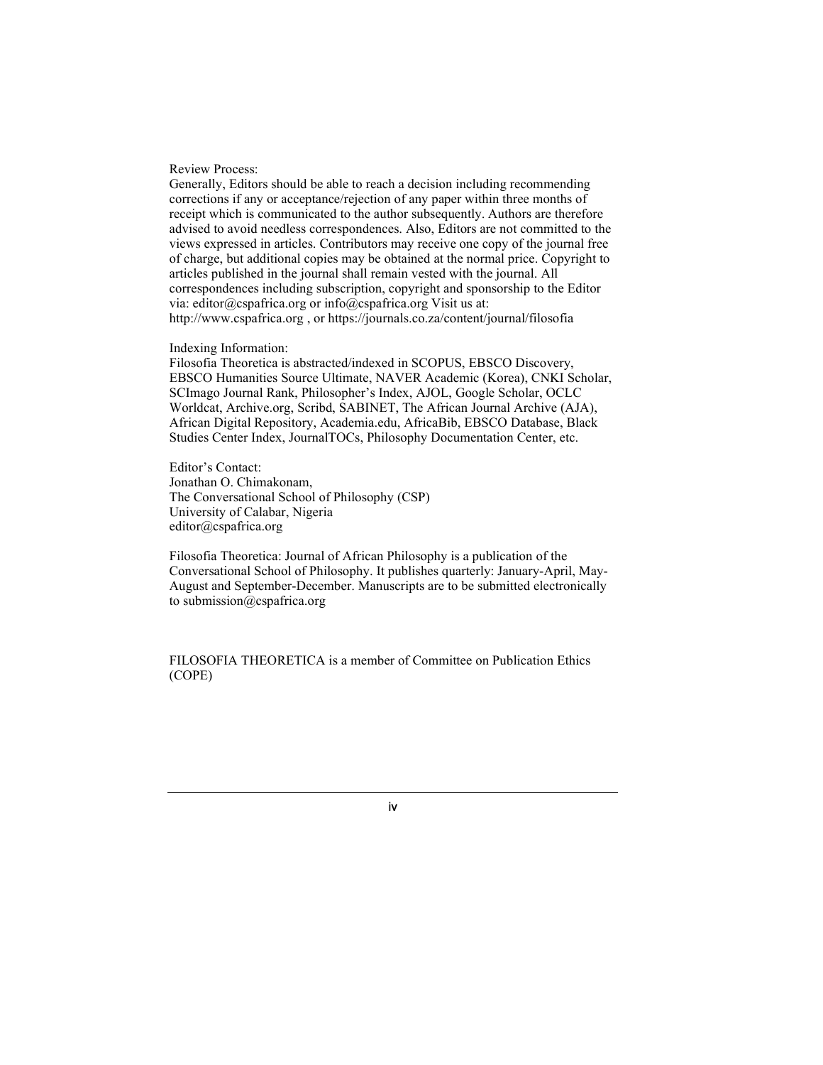### Review Process:

Generally, Editors should be able to reach a decision including recommending corrections if any or acceptance/rejection of any paper within three months of receipt which is communicated to the author subsequently. Authors are therefore advised to avoid needless correspondences. Also, Editors are not committed to the views expressed in articles. Contributors may receive one copy of the journal free of charge, but additional copies may be obtained at the normal price. Copyright to articles published in the journal shall remain vested with the journal. All correspondences including subscription, copyright and sponsorship to the Editor via: editor@cspafrica.org or info@cspafrica.org Visit us at: http://www.cspafrica.org , or https://journals.co.za/content/journal/filosofia

#### Indexing Information:

Filosofia Theoretica is abstracted/indexed in SCOPUS, EBSCO Discovery, EBSCO Humanities Source Ultimate, NAVER Academic (Korea), CNKI Scholar, SCImago Journal Rank, Philosopher's Index, AJOL, Google Scholar, OCLC Worldcat, Archive.org, Scribd, SABINET, The African Journal Archive (AJA), African Digital Repository, Academia.edu, AfricaBib, EBSCO Database, Black Studies Center Index, JournalTOCs, Philosophy Documentation Center, etc.

Editor's Contact: Jonathan O. Chimakonam, The Conversational School of Philosophy (CSP) University of Calabar, Nigeria editor@cspafrica.org

Filosofia Theoretica: Journal of African Philosophy is a publication of the Conversational School of Philosophy. It publishes quarterly: January-April, May-August and September-December. Manuscripts are to be submitted electronically to submission@cspafrica.org

FILOSOFIA THEORETICA is a member of Committee on Publication Ethics (COPE)

iv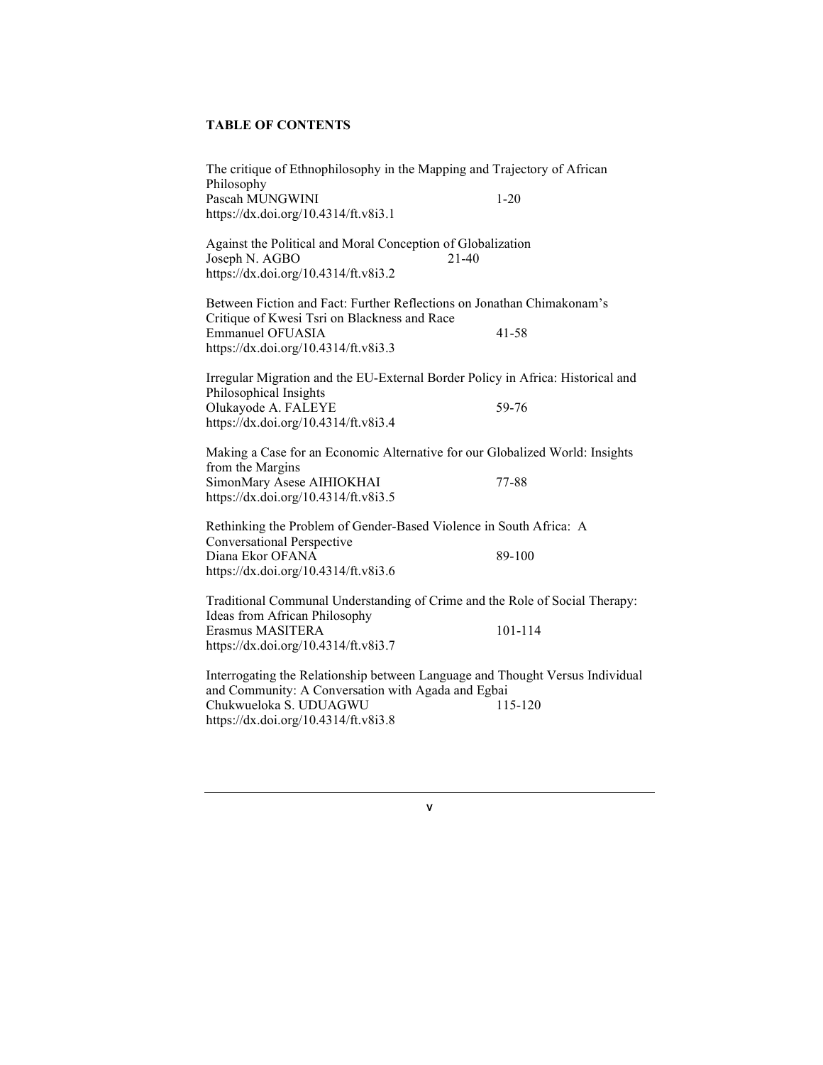# TABLE OF CONTENTS

| The critique of Ethnophilosophy in the Mapping and Trajectory of African<br>Philosophy                                                                                                                |           |
|-------------------------------------------------------------------------------------------------------------------------------------------------------------------------------------------------------|-----------|
| Pascah MUNGWINI<br>https://dx.doi.org/10.4314/ft.v8i3.1                                                                                                                                               | $1 - 20$  |
| Against the Political and Moral Conception of Globalization<br>Joseph N. AGBO<br>$21-40$<br>https://dx.doi.org/10.4314/ft.v8i3.2                                                                      |           |
| Between Fiction and Fact: Further Reflections on Jonathan Chimakonam's<br>Critique of Kwesi Tsri on Blackness and Race<br><b>Emmanuel OFUASIA</b><br>https://dx.doi.org/10.4314/ft.v8i3.3             | $41 - 58$ |
| Irregular Migration and the EU-External Border Policy in Africa: Historical and<br>Philosophical Insights<br>Olukayode A. FALEYE<br>https://dx.doi.org/10.4314/ft.v8i3.4                              | 59-76     |
| Making a Case for an Economic Alternative for our Globalized World: Insights                                                                                                                          |           |
| from the Margins<br>SimonMary Asese AIHIOKHAI<br>https://dx.doi.org/10.4314/ft.v8i3.5                                                                                                                 | 77-88     |
| Rethinking the Problem of Gender-Based Violence in South Africa: A                                                                                                                                    |           |
| <b>Conversational Perspective</b><br>Diana Ekor OFANA<br>https://dx.doi.org/10.4314/ft.v8i3.6                                                                                                         | 89-100    |
| Traditional Communal Understanding of Crime and the Role of Social Therapy:<br>Ideas from African Philosophy<br>Erasmus MASITERA                                                                      | 101-114   |
| https://dx.doi.org/10.4314/ft.v8i3.7                                                                                                                                                                  |           |
| Interrogating the Relationship between Language and Thought Versus Individual<br>and Community: A Conversation with Agada and Egbai<br>Chukwueloka S. UDUAGWU<br>https://dx.doi.org/10.4314/ft.v8i3.8 | 115-120   |

v